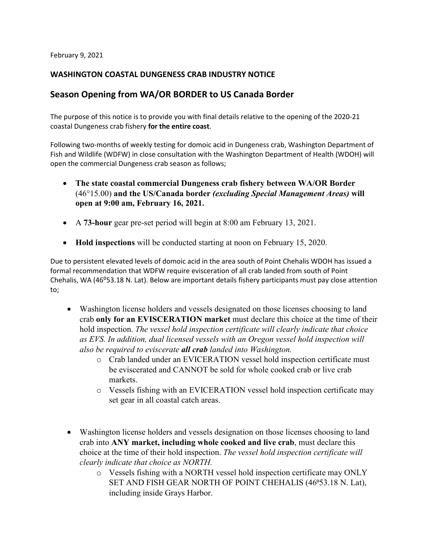February 9, 2021

# **WASHINGTON COASTAL DUNGENESS CRAB INDUSTRY NOTICE**

# **Season Opening from WA/OR BORDER to US Canada Border**

The purpose of this notice is to provide you with final details relative to the opening of the 2020-21 coastal Dungeness crab fishery **for the entire coast**.

Following two-months of weekly testing for domoic acid in Dungeness crab, Washington Department of Fish and Wildlife (WDFW) in close consultation with the Washington Department of Health (WDOH) will open the commercial Dungeness crab season as follows;

- **The state coastal commercial Dungeness crab fishery between WA/OR Border**  (46°15.00) **and the US/Canada border** *(excluding Special Management Areas)* **will open at 9:00 am, February 16, 2021.**
- A **73-hour** gear pre-set period will begin at 8:00 am February 13, 2021.
- **Hold inspections** will be conducted starting at noon on February 15, 2020.

Due to persistent elevated levels of domoic acid in the area south of Point Chehalis WDOH has issued a formal recommendation that WDFW require evisceration of all crab landed from south of Point Chehalis, WA (46°53.18 N. Lat). Below are important details fishery participants must pay close attention to;

- Washington license holders and vessels designated on those licenses choosing to land crab **only for an EVISCERATION market** must declare this choice at the time of their hold inspection. *The vessel hold inspection certificate will clearly indicate that choice as EVS. In addition, dual licensed vessels with an Oregon vessel hold inspection will also be required to eviscerate all crab landed into Washington.*
	- o Crab landed under an EVICERATION vessel hold inspection certificate must be eviscerated and CANNOT be sold for whole cooked crab or live crab markets.
	- o Vessels fishing with an EVICERATION vessel hold inspection certificate may set gear in all coastal catch areas.
- Washington license holders and vessels designation on those licenses choosing to land crab into **ANY market, including whole cooked and live crab**, must declare this choice at the time of their hold inspection. *The vessel hold inspection certificate will clearly indicate that choice as NORTH.*
	- o Vessels fishing with a NORTH vessel hold inspection certificate may ONLY SET AND FISH GEAR NORTH OF POINT CHEHALIS (46°53.18 N. Lat), including inside Grays Harbor.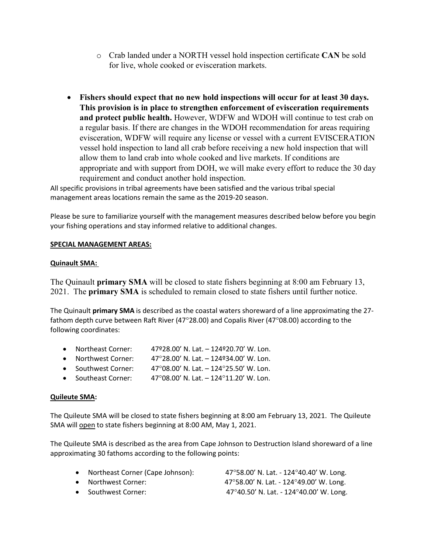- o Crab landed under a NORTH vessel hold inspection certificate **CAN** be sold for live, whole cooked or evisceration markets.
- **Fishers should expect that no new hold inspections will occur for at least 30 days. This provision is in place to strengthen enforcement of evisceration requirements and protect public health.** However, WDFW and WDOH will continue to test crab on a regular basis. If there are changes in the WDOH recommendation for areas requiring evisceration, WDFW will require any license or vessel with a current EVISCERATION vessel hold inspection to land all crab before receiving a new hold inspection that will allow them to land crab into whole cooked and live markets. If conditions are appropriate and with support from DOH, we will make every effort to reduce the 30 day requirement and conduct another hold inspection.

All specific provisions in tribal agreements have been satisfied and the various tribal special management areas locations remain the same as the 2019-20 season.

Please be sure to familiarize yourself with the management measures described below before you begin your fishing operations and stay informed relative to additional changes.

#### **SPECIAL MANAGEMENT AREAS:**

## **Quinault SMA:**

The Quinault **primary SMA** will be closed to state fishers beginning at 8:00 am February 13, 2021. The **primary SMA** is scheduled to remain closed to state fishers until further notice.

The Quinault **primary SMA** is described as the coastal waters shoreward of a line approximating the 27 fathom depth curve between Raft River (47°28.00) and Copalis River (47°08.00) according to the following coordinates:

- Northeast Corner: 47º28.00' N. Lat. 124º20.70' W. Lon.
- Northwest Corner:  $47^{\circ}28.00'$  N. Lat.  $-124^{\circ}34.00'$  W. Lon.
- Southwest Corner:  $47^{\circ}08.00'$  N. Lat.  $-124^{\circ}25.50'$  W. Lon.
- Southeast Corner:  $47^{\circ}08.00'$  N. Lat. 124°11.20' W. Lon.

#### **Quileute SMA:**

The Quileute SMA will be closed to state fishers beginning at 8:00 am February 13, 2021. The Quileute SMA will open to state fishers beginning at 8:00 AM, May 1, 2021.

The Quileute SMA is described as the area from Cape Johnson to Destruction Island shoreward of a line approximating 30 fathoms according to the following points:

| • Northeast Corner (Cape Johnson): | 47°58.00' N. Lat. - 124°40.40' W. Long. |
|------------------------------------|-----------------------------------------|
| • Northwest Corner:                | 47°58.00' N. Lat. - 124°49.00' W. Long. |
| • Southwest Corner:                | 47°40.50' N. Lat. - 124°40.00' W. Long. |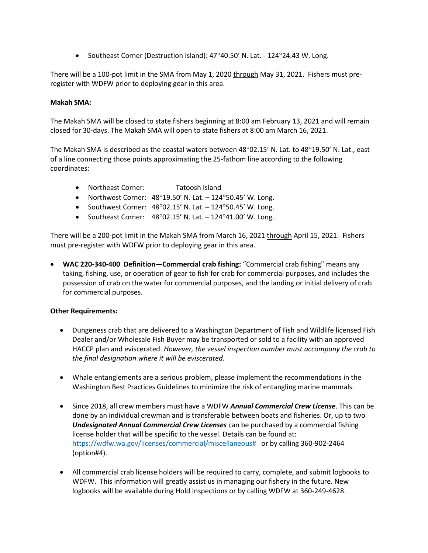• Southeast Corner (Destruction Island): 47°40.50' N. Lat. - 124°24.43 W. Long.

There will be a 100-pot limit in the SMA from May 1, 2020 through May 31, 2021. Fishers must preregister with WDFW prior to deploying gear in this area.

#### **Makah SMA:**

The Makah SMA will be closed to state fishers beginning at 8:00 am February 13, 2021 and will remain closed for 30-days. The Makah SMA will open to state fishers at 8:00 am March 16, 2021.

The Makah SMA is described as the coastal waters between 48°02.15' N. Lat. to 48°19.50' N. Lat., east of a line connecting those points approximating the 25-fathom line according to the following coordinates:

- Northeast Corner: Tatoosh Island
- Northwest Corner:  $48^{\circ}19.50'$  N. Lat.  $-124^{\circ}50.45'$  W. Long.
- Southwest Corner:  $48^{\circ}02.15'$  N. Lat.  $-124^{\circ}50.45'$  W. Long.
- Southeast Corner:  $48^{\circ}02.15'$  N. Lat.  $-124^{\circ}41.00'$  W. Long.

There will be a 200-pot limit in the Makah SMA from March 16, 2021 through April 15, 2021. Fishers must pre-register with WDFW prior to deploying gear in this area.

• **WAC 220-340-400 Definition—Commercial crab fishing:** "Commercial crab fishing" means any taking, fishing, use, or operation of gear to fish for crab for commercial purposes, and includes the possession of crab on the water for commercial purposes, and the landing or initial delivery of crab for commercial purposes.

#### **Other Requirements:**

- Dungeness crab that are delivered to a Washington Department of Fish and Wildlife licensed Fish Dealer and/or Wholesale Fish Buyer may be transported or sold to a facility with an approved HACCP plan and eviscerated. *However, the vessel inspection number must accompany the crab to the final designation where it will be eviscerated.*
- Whale entanglements are a serious problem, please implement the recommendations in the Washington Best Practices Guidelines to minimize the risk of entangling marine mammals.
- Since 2018, all crew members must have a WDFW *Annual Commercial Crew License*. This can be done by an individual crewman and is transferable between boats and fisheries. Or, up to two *Undesignated Annual Commercial Crew Licenses* can be purchased by a commercial fishing license holder that will be specific to the vessel. Details can be found at: [https://wdfw.wa.gov/licenses/commercial/miscellaneous#](https://wdfw.wa.gov/licenses/commercial/miscellaneous) or by calling 360-902-2464 (option#4).
- All commercial crab license holders will be required to carry, complete, and submit logbooks to WDFW. This information will greatly assist us in managing our fishery in the future. New logbooks will be available during Hold Inspections or by calling WDFW at 360-249-4628.